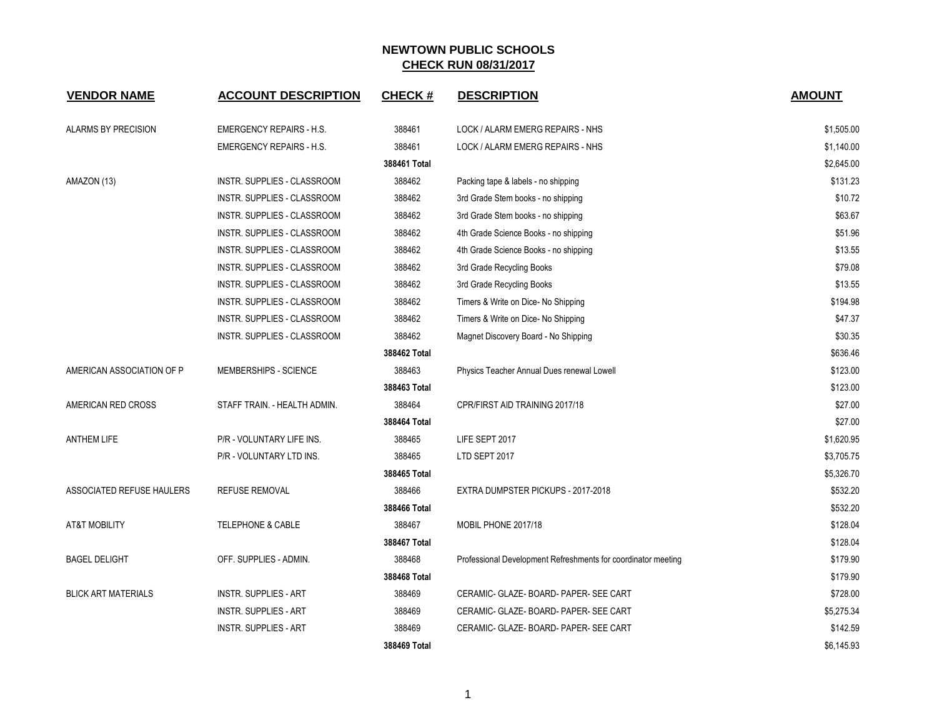| <b>VENDOR NAME</b>         | <b>ACCOUNT DESCRIPTION</b>         | <b>CHECK#</b> | <b>DESCRIPTION</b>                                            | <b>AMOUNT</b> |
|----------------------------|------------------------------------|---------------|---------------------------------------------------------------|---------------|
| <b>ALARMS BY PRECISION</b> | <b>EMERGENCY REPAIRS - H.S.</b>    | 388461        | LOCK / ALARM EMERG REPAIRS - NHS                              | \$1,505.00    |
|                            | <b>EMERGENCY REPAIRS - H.S.</b>    | 388461        | LOCK / ALARM EMERG REPAIRS - NHS                              | \$1,140.00    |
|                            |                                    | 388461 Total  |                                                               | \$2,645.00    |
| AMAZON (13)                | INSTR. SUPPLIES - CLASSROOM        | 388462        | Packing tape & labels - no shipping                           | \$131.23      |
|                            | INSTR. SUPPLIES - CLASSROOM        | 388462        | 3rd Grade Stem books - no shipping                            | \$10.72       |
|                            | INSTR. SUPPLIES - CLASSROOM        | 388462        | 3rd Grade Stem books - no shipping                            | \$63.67       |
|                            | INSTR. SUPPLIES - CLASSROOM        | 388462        | 4th Grade Science Books - no shipping                         | \$51.96       |
|                            | INSTR. SUPPLIES - CLASSROOM        | 388462        | 4th Grade Science Books - no shipping                         | \$13.55       |
|                            | INSTR. SUPPLIES - CLASSROOM        | 388462        | 3rd Grade Recycling Books                                     | \$79.08       |
|                            | INSTR. SUPPLIES - CLASSROOM        | 388462        | 3rd Grade Recycling Books                                     | \$13.55       |
|                            | INSTR. SUPPLIES - CLASSROOM        | 388462        | Timers & Write on Dice- No Shipping                           | \$194.98      |
|                            | INSTR. SUPPLIES - CLASSROOM        | 388462        | Timers & Write on Dice-No Shipping                            | \$47.37       |
|                            | <b>INSTR. SUPPLIES - CLASSROOM</b> | 388462        | Magnet Discovery Board - No Shipping                          | \$30.35       |
|                            |                                    | 388462 Total  |                                                               | \$636.46      |
| AMERICAN ASSOCIATION OF P  | MEMBERSHIPS - SCIENCE              | 388463        | Physics Teacher Annual Dues renewal Lowell                    | \$123.00      |
|                            |                                    | 388463 Total  |                                                               | \$123.00      |
| AMERICAN RED CROSS         | STAFF TRAIN. - HEALTH ADMIN.       | 388464        | CPR/FIRST AID TRAINING 2017/18                                | \$27.00       |
|                            |                                    | 388464 Total  |                                                               | \$27.00       |
| <b>ANTHEM LIFE</b>         | P/R - VOLUNTARY LIFE INS.          | 388465        | LIFE SEPT 2017                                                | \$1,620.95    |
|                            | P/R - VOLUNTARY LTD INS.           | 388465        | LTD SEPT 2017                                                 | \$3,705.75    |
|                            |                                    | 388465 Total  |                                                               | \$5,326.70    |
| ASSOCIATED REFUSE HAULERS  | <b>REFUSE REMOVAL</b>              | 388466        | EXTRA DUMPSTER PICKUPS - 2017-2018                            | \$532.20      |
|                            |                                    | 388466 Total  |                                                               | \$532.20      |
| <b>AT&amp;T MOBILITY</b>   | <b>TELEPHONE &amp; CABLE</b>       | 388467        | MOBIL PHONE 2017/18                                           | \$128.04      |
|                            |                                    | 388467 Total  |                                                               | \$128.04      |
| <b>BAGEL DELIGHT</b>       | OFF. SUPPLIES - ADMIN.             | 388468        | Professional Development Refreshments for coordinator meeting | \$179.90      |
|                            |                                    | 388468 Total  |                                                               | \$179.90      |
| <b>BLICK ART MATERIALS</b> | <b>INSTR. SUPPLIES - ART</b>       | 388469        | CERAMIC- GLAZE- BOARD- PAPER- SEE CART                        | \$728.00      |
|                            | <b>INSTR. SUPPLIES - ART</b>       | 388469        | CERAMIC- GLAZE- BOARD- PAPER- SEE CART                        | \$5,275.34    |
|                            | <b>INSTR. SUPPLIES - ART</b>       | 388469        | CERAMIC- GLAZE- BOARD- PAPER- SEE CART                        | \$142.59      |
|                            |                                    | 388469 Total  |                                                               | \$6,145.93    |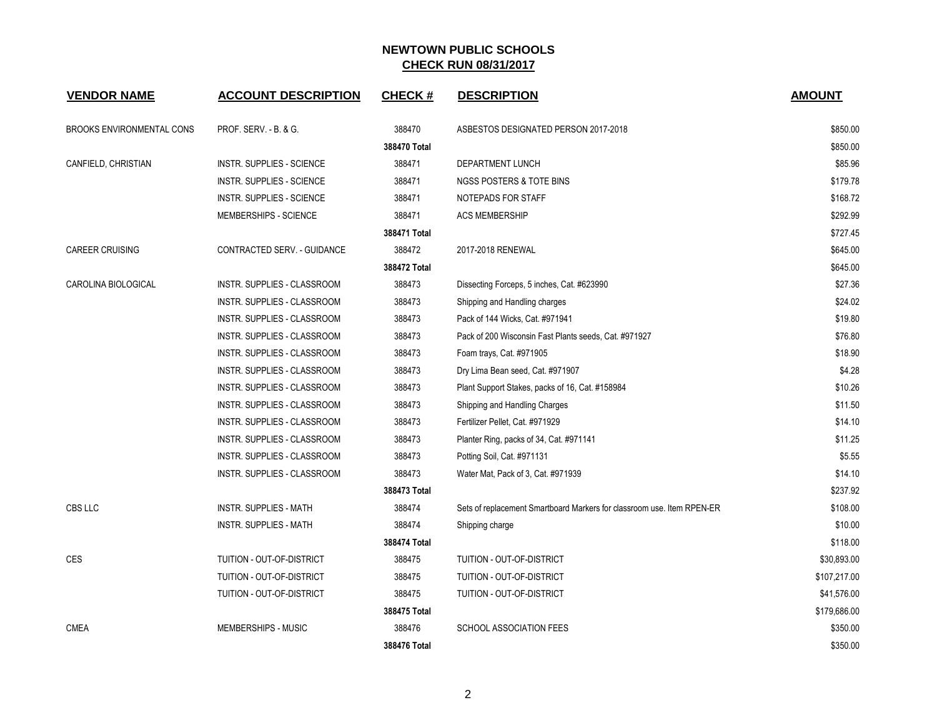| <b>VENDOR NAME</b>               | <b>ACCOUNT DESCRIPTION</b>       | <b>CHECK#</b> | <b>DESCRIPTION</b>                                                     | <b>AMOUNT</b> |
|----------------------------------|----------------------------------|---------------|------------------------------------------------------------------------|---------------|
| <b>BROOKS ENVIRONMENTAL CONS</b> | <b>PROF. SERV. - B. &amp; G.</b> | 388470        | ASBESTOS DESIGNATED PERSON 2017-2018                                   | \$850.00      |
|                                  |                                  | 388470 Total  |                                                                        | \$850.00      |
| CANFIELD, CHRISTIAN              | <b>INSTR. SUPPLIES - SCIENCE</b> | 388471        | DEPARTMENT LUNCH                                                       | \$85.96       |
|                                  | <b>INSTR. SUPPLIES - SCIENCE</b> | 388471        | NGSS POSTERS & TOTE BINS                                               | \$179.78      |
|                                  | <b>INSTR. SUPPLIES - SCIENCE</b> | 388471        | NOTEPADS FOR STAFF                                                     | \$168.72      |
|                                  | MEMBERSHIPS - SCIENCE            | 388471        | <b>ACS MEMBERSHIP</b>                                                  | \$292.99      |
|                                  |                                  | 388471 Total  |                                                                        | \$727.45      |
| <b>CAREER CRUISING</b>           | CONTRACTED SERV. - GUIDANCE      | 388472        | 2017-2018 RENEWAL                                                      | \$645.00      |
|                                  |                                  | 388472 Total  |                                                                        | \$645.00      |
| CAROLINA BIOLOGICAL              | INSTR. SUPPLIES - CLASSROOM      | 388473        | Dissecting Forceps, 5 inches, Cat. #623990                             | \$27.36       |
|                                  | INSTR. SUPPLIES - CLASSROOM      | 388473        | Shipping and Handling charges                                          | \$24.02       |
|                                  | INSTR. SUPPLIES - CLASSROOM      | 388473        | Pack of 144 Wicks, Cat. #971941                                        | \$19.80       |
|                                  | INSTR. SUPPLIES - CLASSROOM      | 388473        | Pack of 200 Wisconsin Fast Plants seeds, Cat. #971927                  | \$76.80       |
|                                  | INSTR. SUPPLIES - CLASSROOM      | 388473        | Foam trays, Cat. #971905                                               | \$18.90       |
|                                  | INSTR. SUPPLIES - CLASSROOM      | 388473        | Dry Lima Bean seed, Cat. #971907                                       | \$4.28        |
|                                  | INSTR. SUPPLIES - CLASSROOM      | 388473        | Plant Support Stakes, packs of 16, Cat. #158984                        | \$10.26       |
|                                  | INSTR. SUPPLIES - CLASSROOM      | 388473        | Shipping and Handling Charges                                          | \$11.50       |
|                                  | INSTR. SUPPLIES - CLASSROOM      | 388473        | Fertilizer Pellet, Cat. #971929                                        | \$14.10       |
|                                  | INSTR. SUPPLIES - CLASSROOM      | 388473        | Planter Ring, packs of 34, Cat. #971141                                | \$11.25       |
|                                  | INSTR. SUPPLIES - CLASSROOM      | 388473        | Potting Soil, Cat. #971131                                             | \$5.55        |
|                                  | INSTR. SUPPLIES - CLASSROOM      | 388473        | Water Mat, Pack of 3, Cat. #971939                                     | \$14.10       |
|                                  |                                  | 388473 Total  |                                                                        | \$237.92      |
| CBS LLC                          | INSTR. SUPPLIES - MATH           | 388474        | Sets of replacement Smartboard Markers for classroom use. Item RPEN-ER | \$108.00      |
|                                  | <b>INSTR. SUPPLIES - MATH</b>    | 388474        | Shipping charge                                                        | \$10.00       |
|                                  |                                  | 388474 Total  |                                                                        | \$118.00      |
| <b>CES</b>                       | TUITION - OUT-OF-DISTRICT        | 388475        | TUITION - OUT-OF-DISTRICT                                              | \$30,893.00   |
|                                  | TUITION - OUT-OF-DISTRICT        | 388475        | TUITION - OUT-OF-DISTRICT                                              | \$107,217.00  |
|                                  | TUITION - OUT-OF-DISTRICT        | 388475        | TUITION - OUT-OF-DISTRICT                                              | \$41,576.00   |
|                                  |                                  | 388475 Total  |                                                                        | \$179,686.00  |
| <b>CMEA</b>                      | MEMBERSHIPS - MUSIC              | 388476        | SCHOOL ASSOCIATION FEES                                                | \$350.00      |
|                                  |                                  | 388476 Total  |                                                                        | \$350.00      |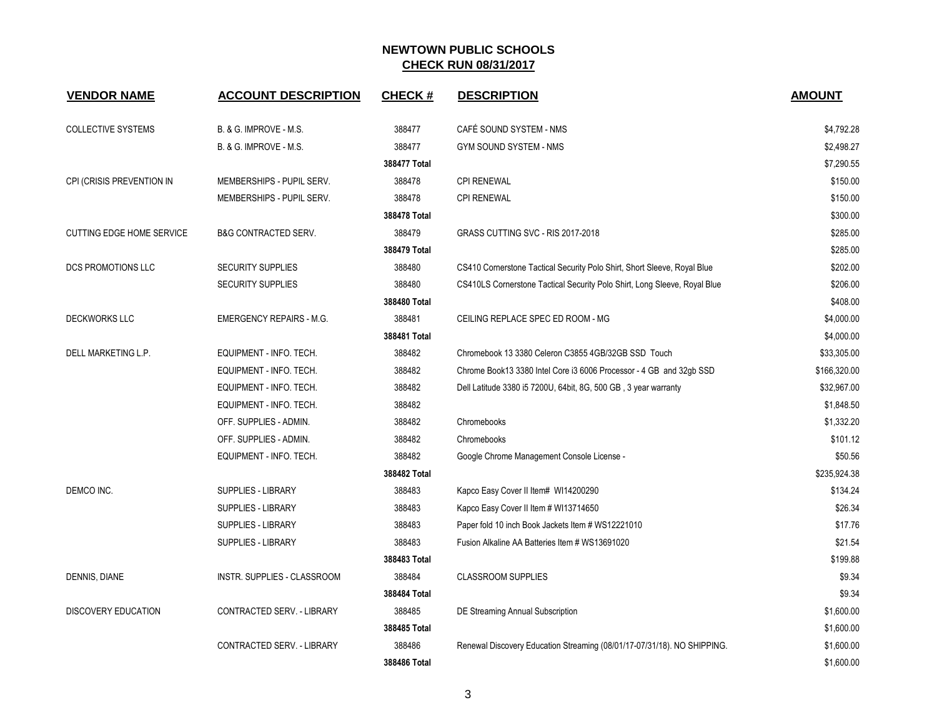| <b>VENDOR NAME</b>               | <b>ACCOUNT DESCRIPTION</b>      | <b>CHECK#</b> | <b>DESCRIPTION</b>                                                        | <b>AMOUNT</b> |
|----------------------------------|---------------------------------|---------------|---------------------------------------------------------------------------|---------------|
| <b>COLLECTIVE SYSTEMS</b>        | B. & G. IMPROVE - M.S.          | 388477        | CAFÉ SOUND SYSTEM - NMS                                                   | \$4,792.28    |
|                                  | B. & G. IMPROVE - M.S.          | 388477        | GYM SOUND SYSTEM - NMS                                                    | \$2,498.27    |
|                                  |                                 | 388477 Total  |                                                                           | \$7,290.55    |
| CPI (CRISIS PREVENTION IN        | MEMBERSHIPS - PUPIL SERV.       | 388478        | <b>CPI RENEWAL</b>                                                        | \$150.00      |
|                                  | MEMBERSHIPS - PUPIL SERV.       | 388478        | <b>CPI RENEWAL</b>                                                        | \$150.00      |
|                                  |                                 | 388478 Total  |                                                                           | \$300.00      |
| <b>CUTTING EDGE HOME SERVICE</b> | <b>B&amp;G CONTRACTED SERV.</b> | 388479        | GRASS CUTTING SVC - RIS 2017-2018                                         | \$285.00      |
|                                  |                                 | 388479 Total  |                                                                           | \$285.00      |
| DCS PROMOTIONS LLC               | <b>SECURITY SUPPLIES</b>        | 388480        | CS410 Cornerstone Tactical Security Polo Shirt, Short Sleeve, Royal Blue  | \$202.00      |
|                                  | <b>SECURITY SUPPLIES</b>        | 388480        | CS410LS Cornerstone Tactical Security Polo Shirt, Long Sleeve, Royal Blue | \$206.00      |
|                                  |                                 | 388480 Total  |                                                                           | \$408.00      |
| <b>DECKWORKS LLC</b>             | <b>EMERGENCY REPAIRS - M.G.</b> | 388481        | CEILING REPLACE SPEC ED ROOM - MG                                         | \$4,000.00    |
|                                  |                                 | 388481 Total  |                                                                           | \$4,000.00    |
| DELL MARKETING L.P.              | EQUIPMENT - INFO. TECH.         | 388482        | Chromebook 13 3380 Celeron C3855 4GB/32GB SSD Touch                       | \$33,305.00   |
|                                  | EQUIPMENT - INFO. TECH.         | 388482        | Chrome Book13 3380 Intel Core i3 6006 Processor - 4 GB and 32gb SSD       | \$166,320.00  |
|                                  | EQUIPMENT - INFO. TECH.         | 388482        | Dell Latitude 3380 i5 7200U, 64bit, 8G, 500 GB, 3 year warranty           | \$32,967.00   |
|                                  | EQUIPMENT - INFO. TECH.         | 388482        |                                                                           | \$1,848.50    |
|                                  | OFF. SUPPLIES - ADMIN.          | 388482        | Chromebooks                                                               | \$1,332.20    |
|                                  | OFF. SUPPLIES - ADMIN.          | 388482        | Chromebooks                                                               | \$101.12      |
|                                  | EQUIPMENT - INFO. TECH.         | 388482        | Google Chrome Management Console License -                                | \$50.56       |
|                                  |                                 | 388482 Total  |                                                                           | \$235,924.38  |
| DEMCO INC.                       | <b>SUPPLIES - LIBRARY</b>       | 388483        | Kapco Easy Cover II Item# WI14200290                                      | \$134.24      |
|                                  | SUPPLIES - LIBRARY              | 388483        | Kapco Easy Cover II Item # WI13714650                                     | \$26.34       |
|                                  | <b>SUPPLIES - LIBRARY</b>       | 388483        | Paper fold 10 inch Book Jackets Item # WS12221010                         | \$17.76       |
|                                  | <b>SUPPLIES - LIBRARY</b>       | 388483        | Fusion Alkaline AA Batteries Item # WS13691020                            | \$21.54       |
|                                  |                                 | 388483 Total  |                                                                           | \$199.88      |
| DENNIS, DIANE                    | INSTR. SUPPLIES - CLASSROOM     | 388484        | <b>CLASSROOM SUPPLIES</b>                                                 | \$9.34        |
|                                  |                                 | 388484 Total  |                                                                           | \$9.34        |
| <b>DISCOVERY EDUCATION</b>       | CONTRACTED SERV. - LIBRARY      | 388485        | DE Streaming Annual Subscription                                          | \$1,600.00    |
|                                  |                                 | 388485 Total  |                                                                           | \$1,600.00    |
|                                  | CONTRACTED SERV. - LIBRARY      | 388486        | Renewal Discovery Education Streaming (08/01/17-07/31/18). NO SHIPPING.   | \$1,600.00    |
|                                  |                                 | 388486 Total  |                                                                           | \$1,600.00    |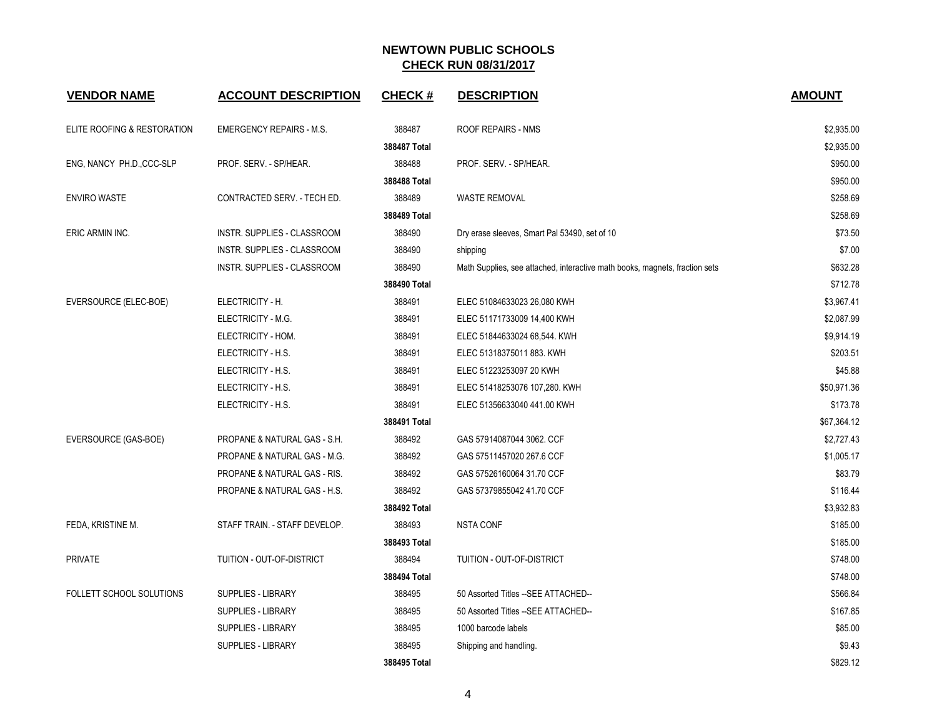| <b>VENDOR NAME</b>          | <b>ACCOUNT DESCRIPTION</b>      | <b>CHECK#</b> | <b>DESCRIPTION</b>                                                          | <b>AMOUNT</b> |
|-----------------------------|---------------------------------|---------------|-----------------------------------------------------------------------------|---------------|
| ELITE ROOFING & RESTORATION | <b>EMERGENCY REPAIRS - M.S.</b> | 388487        | ROOF REPAIRS - NMS                                                          | \$2,935.00    |
|                             |                                 | 388487 Total  |                                                                             | \$2,935.00    |
| ENG, NANCY PH.D., CCC-SLP   | PROF. SERV. - SP/HEAR.          | 388488        | PROF. SERV. - SP/HEAR.                                                      | \$950.00      |
|                             |                                 | 388488 Total  |                                                                             | \$950.00      |
| <b>ENVIRO WASTE</b>         | CONTRACTED SERV. - TECH ED.     | 388489        | <b>WASTE REMOVAL</b>                                                        | \$258.69      |
|                             |                                 | 388489 Total  |                                                                             | \$258.69      |
| ERIC ARMIN INC.             | INSTR. SUPPLIES - CLASSROOM     | 388490        | Dry erase sleeves, Smart Pal 53490, set of 10                               | \$73.50       |
|                             | INSTR. SUPPLIES - CLASSROOM     | 388490        | shipping                                                                    | \$7.00        |
|                             | INSTR. SUPPLIES - CLASSROOM     | 388490        | Math Supplies, see attached, interactive math books, magnets, fraction sets | \$632.28      |
|                             |                                 | 388490 Total  |                                                                             | \$712.78      |
| EVERSOURCE (ELEC-BOE)       | ELECTRICITY - H.                | 388491        | ELEC 51084633023 26,080 KWH                                                 | \$3,967.41    |
|                             | ELECTRICITY - M.G.              | 388491        | ELEC 51171733009 14,400 KWH                                                 | \$2,087.99    |
|                             | ELECTRICITY - HOM.              | 388491        | ELEC 51844633024 68,544. KWH                                                | \$9,914.19    |
|                             | ELECTRICITY - H.S.              | 388491        | ELEC 51318375011 883. KWH                                                   | \$203.51      |
|                             | ELECTRICITY - H.S.              | 388491        | ELEC 51223253097 20 KWH                                                     | \$45.88       |
|                             | ELECTRICITY - H.S.              | 388491        | ELEC 51418253076 107,280. KWH                                               | \$50,971.36   |
|                             | ELECTRICITY - H.S.              | 388491        | ELEC 51356633040 441.00 KWH                                                 | \$173.78      |
|                             |                                 | 388491 Total  |                                                                             | \$67,364.12   |
| EVERSOURCE (GAS-BOE)        | PROPANE & NATURAL GAS - S.H.    | 388492        | GAS 57914087044 3062. CCF                                                   | \$2,727.43    |
|                             | PROPANE & NATURAL GAS - M.G.    | 388492        | GAS 57511457020 267.6 CCF                                                   | \$1,005.17    |
|                             | PROPANE & NATURAL GAS - RIS.    | 388492        | GAS 57526160064 31.70 CCF                                                   | \$83.79       |
|                             | PROPANE & NATURAL GAS - H.S.    | 388492        | GAS 57379855042 41.70 CCF                                                   | \$116.44      |
|                             |                                 | 388492 Total  |                                                                             | \$3,932.83    |
| FEDA, KRISTINE M.           | STAFF TRAIN. - STAFF DEVELOP.   | 388493        | <b>NSTA CONF</b>                                                            | \$185.00      |
|                             |                                 | 388493 Total  |                                                                             | \$185.00      |
| <b>PRIVATE</b>              | TUITION - OUT-OF-DISTRICT       | 388494        | TUITION - OUT-OF-DISTRICT                                                   | \$748.00      |
|                             |                                 | 388494 Total  |                                                                             | \$748.00      |
| FOLLETT SCHOOL SOLUTIONS    | <b>SUPPLIES - LIBRARY</b>       | 388495        | 50 Assorted Titles -- SEE ATTACHED--                                        | \$566.84      |
|                             | <b>SUPPLIES - LIBRARY</b>       | 388495        | 50 Assorted Titles -- SEE ATTACHED--                                        | \$167.85      |
|                             | <b>SUPPLIES - LIBRARY</b>       | 388495        | 1000 barcode labels                                                         | \$85.00       |
|                             | <b>SUPPLIES - LIBRARY</b>       | 388495        | Shipping and handling.                                                      | \$9.43        |
|                             |                                 | 388495 Total  |                                                                             | \$829.12      |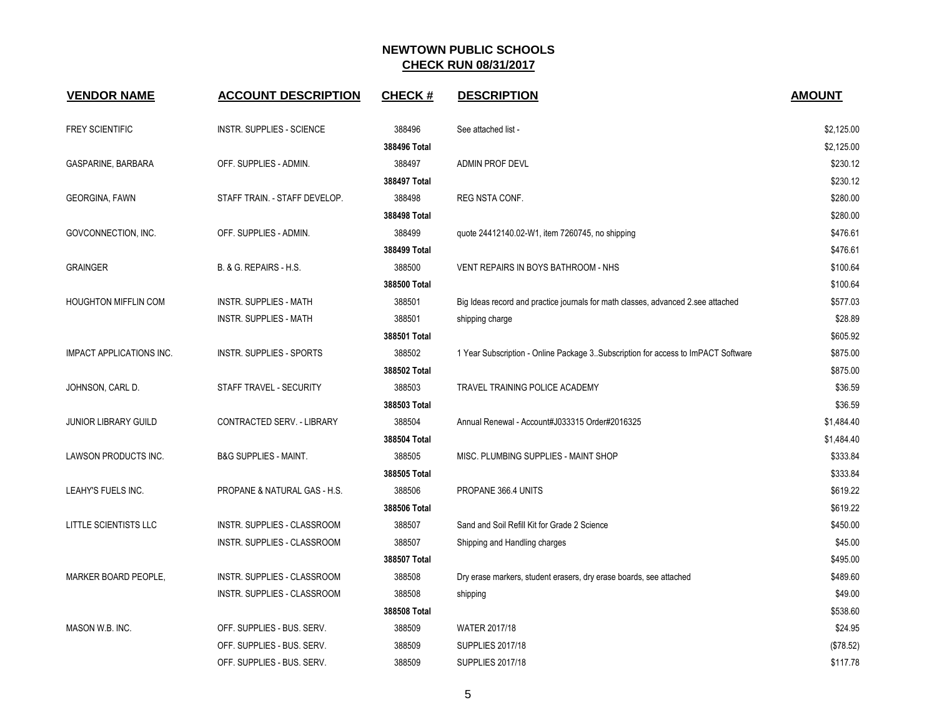| <b>VENDOR NAME</b>              | <b>ACCOUNT DESCRIPTION</b>       | <b>CHECK#</b> | <b>DESCRIPTION</b>                                                                 | <b>AMOUNT</b> |
|---------------------------------|----------------------------------|---------------|------------------------------------------------------------------------------------|---------------|
| <b>FREY SCIENTIFIC</b>          | <b>INSTR. SUPPLIES - SCIENCE</b> | 388496        | See attached list -                                                                | \$2,125.00    |
|                                 |                                  | 388496 Total  |                                                                                    | \$2,125.00    |
| GASPARINE, BARBARA              | OFF. SUPPLIES - ADMIN.           | 388497        | ADMIN PROF DEVL                                                                    | \$230.12      |
|                                 |                                  | 388497 Total  |                                                                                    | \$230.12      |
| <b>GEORGINA, FAWN</b>           | STAFF TRAIN. - STAFF DEVELOP.    | 388498        | REG NSTA CONF.                                                                     | \$280.00      |
|                                 |                                  | 388498 Total  |                                                                                    | \$280.00      |
| GOVCONNECTION, INC.             | OFF. SUPPLIES - ADMIN.           | 388499        | quote 24412140.02-W1, item 7260745, no shipping                                    | \$476.61      |
|                                 |                                  | 388499 Total  |                                                                                    | \$476.61      |
| <b>GRAINGER</b>                 | B. & G. REPAIRS - H.S.           | 388500        | VENT REPAIRS IN BOYS BATHROOM - NHS                                                | \$100.64      |
|                                 |                                  | 388500 Total  |                                                                                    | \$100.64      |
| <b>HOUGHTON MIFFLIN COM</b>     | <b>INSTR. SUPPLIES - MATH</b>    | 388501        | Big Ideas record and practice journals for math classes, advanced 2.see attached   | \$577.03      |
|                                 | <b>INSTR. SUPPLIES - MATH</b>    | 388501        | shipping charge                                                                    | \$28.89       |
|                                 |                                  | 388501 Total  |                                                                                    | \$605.92      |
| <b>IMPACT APPLICATIONS INC.</b> | <b>INSTR. SUPPLIES - SPORTS</b>  | 388502        | 1 Year Subscription - Online Package 3. Subscription for access to ImPACT Software | \$875.00      |
|                                 |                                  | 388502 Total  |                                                                                    | \$875.00      |
| JOHNSON, CARL D.                | STAFF TRAVEL - SECURITY          | 388503        | TRAVEL TRAINING POLICE ACADEMY                                                     | \$36.59       |
|                                 |                                  | 388503 Total  |                                                                                    | \$36.59       |
| <b>JUNIOR LIBRARY GUILD</b>     | CONTRACTED SERV. - LIBRARY       | 388504        | Annual Renewal - Account#J033315 Order#2016325                                     | \$1,484.40    |
|                                 |                                  | 388504 Total  |                                                                                    | \$1,484.40    |
| LAWSON PRODUCTS INC.            | <b>B&amp;G SUPPLIES - MAINT.</b> | 388505        | MISC. PLUMBING SUPPLIES - MAINT SHOP                                               | \$333.84      |
|                                 |                                  | 388505 Total  |                                                                                    | \$333.84      |
| LEAHY'S FUELS INC.              | PROPANE & NATURAL GAS - H.S.     | 388506        | PROPANE 366.4 UNITS                                                                | \$619.22      |
|                                 |                                  | 388506 Total  |                                                                                    | \$619.22      |
| LITTLE SCIENTISTS LLC           | INSTR. SUPPLIES - CLASSROOM      | 388507        | Sand and Soil Refill Kit for Grade 2 Science                                       | \$450.00      |
|                                 | INSTR. SUPPLIES - CLASSROOM      | 388507        | Shipping and Handling charges                                                      | \$45.00       |
|                                 |                                  | 388507 Total  |                                                                                    | \$495.00      |
| MARKER BOARD PEOPLE,            | INSTR. SUPPLIES - CLASSROOM      | 388508        | Dry erase markers, student erasers, dry erase boards, see attached                 | \$489.60      |
|                                 | INSTR. SUPPLIES - CLASSROOM      | 388508        | shipping                                                                           | \$49.00       |
|                                 |                                  | 388508 Total  |                                                                                    | \$538.60      |
| MASON W.B. INC.                 | OFF. SUPPLIES - BUS. SERV.       | 388509        | WATER 2017/18                                                                      | \$24.95       |
|                                 | OFF. SUPPLIES - BUS. SERV.       | 388509        | <b>SUPPLIES 2017/18</b>                                                            | (\$78.52)     |
|                                 | OFF. SUPPLIES - BUS. SERV.       | 388509        | <b>SUPPLIES 2017/18</b>                                                            | \$117.78      |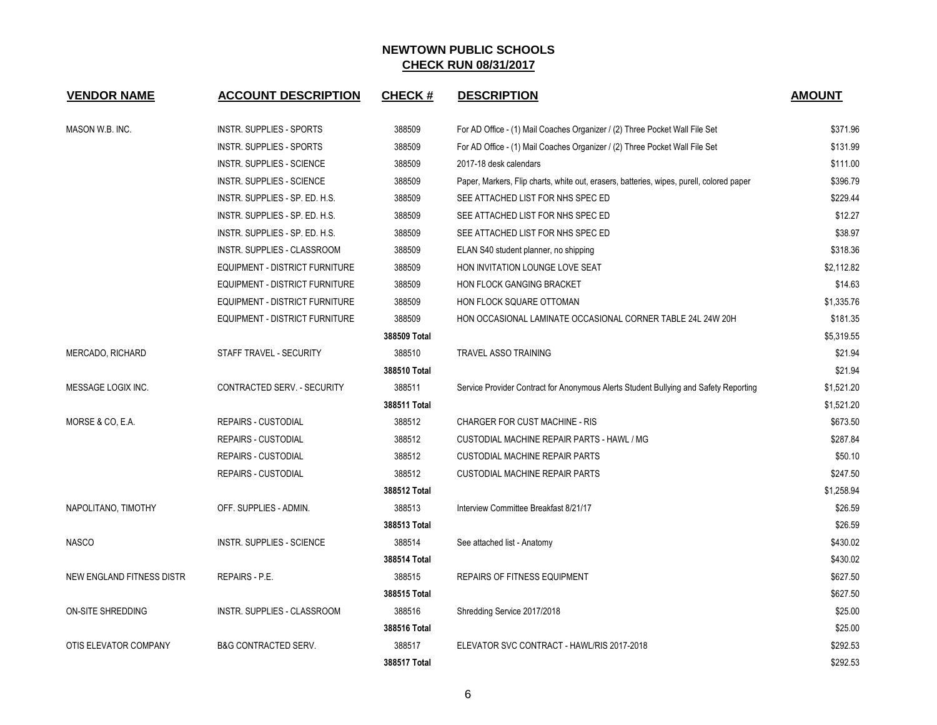| <b>VENDOR NAME</b>        | <b>ACCOUNT DESCRIPTION</b>            | <b>CHECK#</b> | <b>DESCRIPTION</b>                                                                       | <b>AMOUNT</b> |
|---------------------------|---------------------------------------|---------------|------------------------------------------------------------------------------------------|---------------|
| MASON W.B. INC.           | INSTR. SUPPLIES - SPORTS              | 388509        | For AD Office - (1) Mail Coaches Organizer / (2) Three Pocket Wall File Set              | \$371.96      |
|                           | <b>INSTR. SUPPLIES - SPORTS</b>       | 388509        | For AD Office - (1) Mail Coaches Organizer / (2) Three Pocket Wall File Set              | \$131.99      |
|                           | <b>INSTR. SUPPLIES - SCIENCE</b>      | 388509        | 2017-18 desk calendars                                                                   | \$111.00      |
|                           | <b>INSTR. SUPPLIES - SCIENCE</b>      | 388509        | Paper, Markers, Flip charts, white out, erasers, batteries, wipes, purell, colored paper | \$396.79      |
|                           | INSTR. SUPPLIES - SP. ED. H.S.        | 388509        | SEE ATTACHED LIST FOR NHS SPEC ED                                                        | \$229.44      |
|                           | INSTR. SUPPLIES - SP. ED. H.S.        | 388509        | SEE ATTACHED LIST FOR NHS SPEC ED                                                        | \$12.27       |
|                           | INSTR. SUPPLIES - SP. ED. H.S.        | 388509        | SEE ATTACHED LIST FOR NHS SPEC ED                                                        | \$38.97       |
|                           | INSTR. SUPPLIES - CLASSROOM           | 388509        | ELAN S40 student planner, no shipping                                                    | \$318.36      |
|                           | EQUIPMENT - DISTRICT FURNITURE        | 388509        | HON INVITATION LOUNGE LOVE SEAT                                                          | \$2,112.82    |
|                           | EQUIPMENT - DISTRICT FURNITURE        | 388509        | HON FLOCK GANGING BRACKET                                                                | \$14.63       |
|                           | EQUIPMENT - DISTRICT FURNITURE        | 388509        | HON FLOCK SQUARE OTTOMAN                                                                 | \$1,335.76    |
|                           | <b>EQUIPMENT - DISTRICT FURNITURE</b> | 388509        | HON OCCASIONAL LAMINATE OCCASIONAL CORNER TABLE 24L 24W 20H                              | \$181.35      |
|                           |                                       | 388509 Total  |                                                                                          | \$5,319.55    |
| MERCADO, RICHARD          | STAFF TRAVEL - SECURITY               | 388510        | <b>TRAVEL ASSO TRAINING</b>                                                              | \$21.94       |
|                           |                                       | 388510 Total  |                                                                                          | \$21.94       |
| MESSAGE LOGIX INC.        | CONTRACTED SERV. - SECURITY           | 388511        | Service Provider Contract for Anonymous Alerts Student Bullying and Safety Reporting     | \$1,521.20    |
|                           |                                       | 388511 Total  |                                                                                          | \$1,521.20    |
| MORSE & CO, E.A.          | <b>REPAIRS - CUSTODIAL</b>            | 388512        | CHARGER FOR CUST MACHINE - RIS                                                           | \$673.50      |
|                           | <b>REPAIRS - CUSTODIAL</b>            | 388512        | CUSTODIAL MACHINE REPAIR PARTS - HAWL / MG                                               | \$287.84      |
|                           | <b>REPAIRS - CUSTODIAL</b>            | 388512        | <b>CUSTODIAL MACHINE REPAIR PARTS</b>                                                    | \$50.10       |
|                           | <b>REPAIRS - CUSTODIAL</b>            | 388512        | <b>CUSTODIAL MACHINE REPAIR PARTS</b>                                                    | \$247.50      |
|                           |                                       | 388512 Total  |                                                                                          | \$1,258.94    |
| NAPOLITANO, TIMOTHY       | OFF. SUPPLIES - ADMIN.                | 388513        | Interview Committee Breakfast 8/21/17                                                    | \$26.59       |
|                           |                                       | 388513 Total  |                                                                                          | \$26.59       |
| <b>NASCO</b>              | <b>INSTR. SUPPLIES - SCIENCE</b>      | 388514        | See attached list - Anatomy                                                              | \$430.02      |
|                           |                                       | 388514 Total  |                                                                                          | \$430.02      |
| NEW ENGLAND FITNESS DISTR | <b>REPAIRS - P.E.</b>                 | 388515        | REPAIRS OF FITNESS EQUIPMENT                                                             | \$627.50      |
|                           |                                       | 388515 Total  |                                                                                          | \$627.50      |
| <b>ON-SITE SHREDDING</b>  | INSTR. SUPPLIES - CLASSROOM           | 388516        | Shredding Service 2017/2018                                                              | \$25.00       |
|                           |                                       | 388516 Total  |                                                                                          | \$25.00       |
| OTIS ELEVATOR COMPANY     | <b>B&amp;G CONTRACTED SERV.</b>       | 388517        | ELEVATOR SVC CONTRACT - HAWL/RIS 2017-2018                                               | \$292.53      |
|                           |                                       | 388517 Total  |                                                                                          | \$292.53      |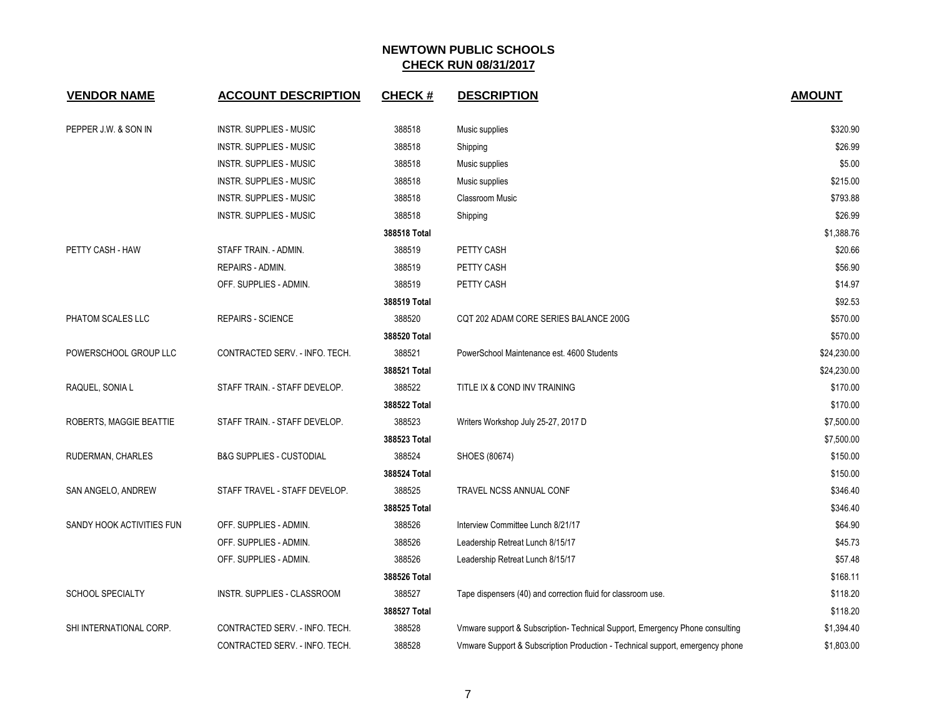| <b>VENDOR NAME</b>        | <b>ACCOUNT DESCRIPTION</b>          | <b>CHECK#</b> | <b>DESCRIPTION</b>                                                            | <b>AMOUNT</b> |
|---------------------------|-------------------------------------|---------------|-------------------------------------------------------------------------------|---------------|
| PEPPER J.W. & SON IN      | <b>INSTR. SUPPLIES - MUSIC</b>      | 388518        | Music supplies                                                                | \$320.90      |
|                           | <b>INSTR. SUPPLIES - MUSIC</b>      | 388518        | Shipping                                                                      | \$26.99       |
|                           | <b>INSTR. SUPPLIES - MUSIC</b>      | 388518        | Music supplies                                                                | \$5.00        |
|                           | <b>INSTR. SUPPLIES - MUSIC</b>      | 388518        | Music supplies                                                                | \$215.00      |
|                           | <b>INSTR. SUPPLIES - MUSIC</b>      | 388518        | <b>Classroom Music</b>                                                        | \$793.88      |
|                           | <b>INSTR. SUPPLIES - MUSIC</b>      | 388518        | Shipping                                                                      | \$26.99       |
|                           |                                     | 388518 Total  |                                                                               | \$1,388.76    |
| PETTY CASH - HAW          | STAFF TRAIN. - ADMIN.               | 388519        | PETTY CASH                                                                    | \$20.66       |
|                           | REPAIRS - ADMIN.                    | 388519        | PETTY CASH                                                                    | \$56.90       |
|                           | OFF. SUPPLIES - ADMIN.              | 388519        | PETTY CASH                                                                    | \$14.97       |
|                           |                                     | 388519 Total  |                                                                               | \$92.53       |
| PHATOM SCALES LLC         | REPAIRS - SCIENCE                   | 388520        | CQT 202 ADAM CORE SERIES BALANCE 200G                                         | \$570.00      |
|                           |                                     | 388520 Total  |                                                                               | \$570.00      |
| POWERSCHOOL GROUP LLC     | CONTRACTED SERV. - INFO. TECH.      | 388521        | PowerSchool Maintenance est. 4600 Students                                    | \$24,230.00   |
|                           |                                     | 388521 Total  |                                                                               | \$24,230.00   |
| RAQUEL, SONIA L           | STAFF TRAIN. - STAFF DEVELOP.       | 388522        | TITLE IX & COND INV TRAINING                                                  | \$170.00      |
|                           |                                     | 388522 Total  |                                                                               | \$170.00      |
| ROBERTS, MAGGIE BEATTIE   | STAFF TRAIN. - STAFF DEVELOP.       | 388523        | Writers Workshop July 25-27, 2017 D                                           | \$7,500.00    |
|                           |                                     | 388523 Total  |                                                                               | \$7,500.00    |
| RUDERMAN, CHARLES         | <b>B&amp;G SUPPLIES - CUSTODIAL</b> | 388524        | SHOES (80674)                                                                 | \$150.00      |
|                           |                                     | 388524 Total  |                                                                               | \$150.00      |
| SAN ANGELO, ANDREW        | STAFF TRAVEL - STAFF DEVELOP.       | 388525        | <b>TRAVEL NCSS ANNUAL CONF</b>                                                | \$346.40      |
|                           |                                     | 388525 Total  |                                                                               | \$346.40      |
| SANDY HOOK ACTIVITIES FUN | OFF. SUPPLIES - ADMIN.              | 388526        | Interview Committee Lunch 8/21/17                                             | \$64.90       |
|                           | OFF. SUPPLIES - ADMIN.              | 388526        | Leadership Retreat Lunch 8/15/17                                              | \$45.73       |
|                           | OFF. SUPPLIES - ADMIN.              | 388526        | Leadership Retreat Lunch 8/15/17                                              | \$57.48       |
|                           |                                     | 388526 Total  |                                                                               | \$168.11      |
| <b>SCHOOL SPECIALTY</b>   | INSTR. SUPPLIES - CLASSROOM         | 388527        | Tape dispensers (40) and correction fluid for classroom use.                  | \$118.20      |
|                           |                                     | 388527 Total  |                                                                               | \$118.20      |
| SHI INTERNATIONAL CORP.   | CONTRACTED SERV. - INFO. TECH.      | 388528        | Vmware support & Subscription- Technical Support, Emergency Phone consulting  | \$1,394.40    |
|                           | CONTRACTED SERV. - INFO. TECH.      | 388528        | Vmware Support & Subscription Production - Technical support, emergency phone | \$1,803.00    |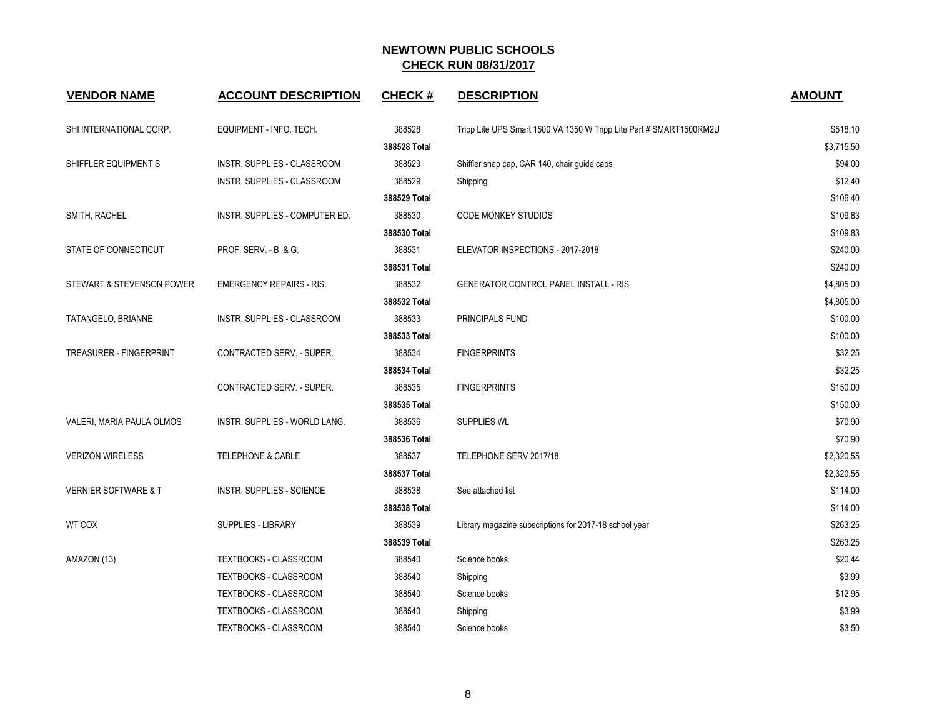| <b>VENDOR NAME</b>              | <b>ACCOUNT DESCRIPTION</b>         | <b>CHECK#</b> | <b>DESCRIPTION</b>                                                  | <b>AMOUNT</b> |
|---------------------------------|------------------------------------|---------------|---------------------------------------------------------------------|---------------|
| SHI INTERNATIONAL CORP.         | EQUIPMENT - INFO. TECH.            | 388528        | Tripp Lite UPS Smart 1500 VA 1350 W Tripp Lite Part # SMART1500RM2U | \$518.10      |
|                                 |                                    | 388528 Total  |                                                                     | \$3,715.50    |
| SHIFFLER EQUIPMENT S            | <b>INSTR. SUPPLIES - CLASSROOM</b> | 388529        | Shiffler snap cap, CAR 140, chair guide caps                        | \$94.00       |
|                                 | INSTR. SUPPLIES - CLASSROOM        | 388529        | Shipping                                                            | \$12.40       |
|                                 |                                    | 388529 Total  |                                                                     | \$106.40      |
| SMITH, RACHEL                   | INSTR. SUPPLIES - COMPUTER ED.     | 388530        | <b>CODE MONKEY STUDIOS</b>                                          | \$109.83      |
|                                 |                                    | 388530 Total  |                                                                     | \$109.83      |
| STATE OF CONNECTICUT            | PROF. SERV. - B. & G.              | 388531        | ELEVATOR INSPECTIONS - 2017-2018                                    | \$240.00      |
|                                 |                                    | 388531 Total  |                                                                     | \$240.00      |
| STEWART & STEVENSON POWER       | <b>EMERGENCY REPAIRS - RIS.</b>    | 388532        | <b>GENERATOR CONTROL PANEL INSTALL - RIS</b>                        | \$4,805.00    |
|                                 |                                    | 388532 Total  |                                                                     | \$4,805.00    |
| TATANGELO, BRIANNE              | INSTR. SUPPLIES - CLASSROOM        | 388533        | PRINCIPALS FUND                                                     | \$100.00      |
|                                 |                                    | 388533 Total  |                                                                     | \$100.00      |
| TREASURER - FINGERPRINT         | CONTRACTED SERV. - SUPER.          | 388534        | <b>FINGERPRINTS</b>                                                 | \$32.25       |
|                                 |                                    | 388534 Total  |                                                                     | \$32.25       |
|                                 | CONTRACTED SERV. - SUPER.          | 388535        | <b>FINGERPRINTS</b>                                                 | \$150.00      |
|                                 |                                    | 388535 Total  |                                                                     | \$150.00      |
| VALERI, MARIA PAULA OLMOS       | INSTR. SUPPLIES - WORLD LANG.      | 388536        | <b>SUPPLIES WL</b>                                                  | \$70.90       |
|                                 |                                    | 388536 Total  |                                                                     | \$70.90       |
| <b>VERIZON WIRELESS</b>         | TELEPHONE & CABLE                  | 388537        | TELEPHONE SERV 2017/18                                              | \$2,320.55    |
|                                 |                                    | 388537 Total  |                                                                     | \$2,320.55    |
| <b>VERNIER SOFTWARE &amp; T</b> | INSTR. SUPPLIES - SCIENCE          | 388538        | See attached list                                                   | \$114.00      |
|                                 |                                    | 388538 Total  |                                                                     | \$114.00      |
| WT COX                          | <b>SUPPLIES - LIBRARY</b>          | 388539        | Library magazine subscriptions for 2017-18 school year              | \$263.25      |
|                                 |                                    | 388539 Total  |                                                                     | \$263.25      |
| AMAZON (13)                     | TEXTBOOKS - CLASSROOM              | 388540        | Science books                                                       | \$20.44       |
|                                 | TEXTBOOKS - CLASSROOM              | 388540        | Shipping                                                            | \$3.99        |
|                                 | <b>TEXTBOOKS - CLASSROOM</b>       | 388540        | Science books                                                       | \$12.95       |
|                                 | <b>TEXTBOOKS - CLASSROOM</b>       | 388540        | Shipping                                                            | \$3.99        |
|                                 | TEXTBOOKS - CLASSROOM              | 388540        | Science books                                                       | \$3.50        |